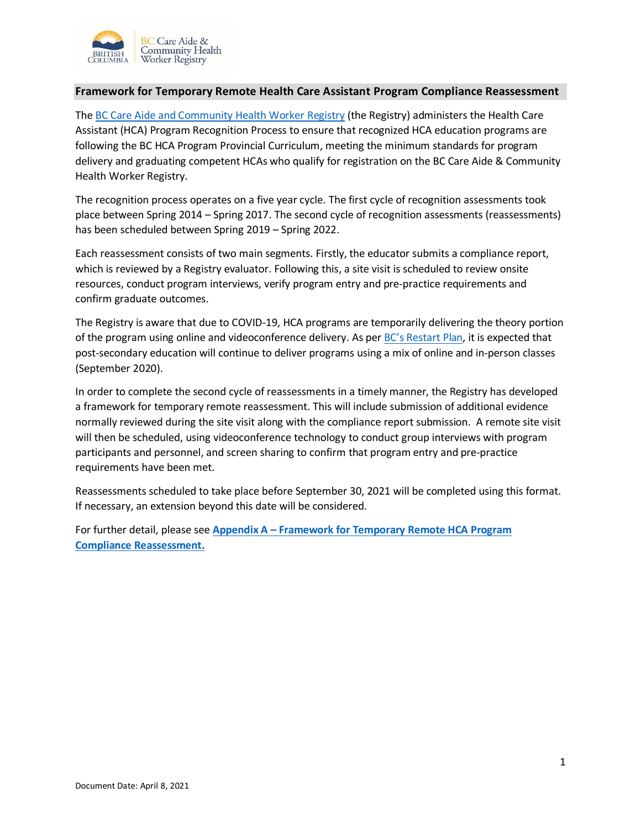

## **Framework for Temporary Remote Health Care Assistant Program Compliance Reassessment**

The [BC Care Aide and Community Health Worker Registry](https://www.cachwr.bc.ca/Home.aspx) (the Registry) administers the Health Care Assistant (HCA) Program Recognition Process to ensure that recognized HCA education programs are following the BC HCA Program Provincial Curriculum, meeting the minimum standards for program delivery and graduating competent HCAs who qualify for registration on the BC Care Aide & Community Health Worker Registry.

The recognition process operates on a five year cycle. The first cycle of recognition assessments took place between Spring 2014 – Spring 2017. The second cycle of recognition assessments (reassessments) has been scheduled between Spring 2019 – Spring 2022.

Each reassessment consists of two main segments. Firstly, the educator submits a compliance report, which is reviewed by a Registry evaluator. Following this, a site visit is scheduled to review onsite resources, conduct program interviews, verify program entry and pre-practice requirements and confirm graduate outcomes.

The Registry is aware that due to COVID-19, HCA programs are temporarily delivering the theory portion of the program using online and videoconference delivery. As per BC'[s Restart Plan,](https://www2.gov.bc.ca/gov/content/safety/emergency-preparedness-response-recovery/covid-19-provincial-support/bc-restart-plan) it is expected that post-secondary education will continue to deliver programs using a mix of online and in-person classes (September 2020).

In order to complete the second cycle of reassessments in a timely manner, the Registry has developed a framework for temporary remote reassessment. This will include submission of additional evidence normally reviewed during the site visit along with the compliance report submission. A remote site visit will then be scheduled, using videoconference technology to conduct group interviews with program participants and personnel, and screen sharing to confirm that program entry and pre-practice requirements have been met.

Reassessments scheduled to take place before September 30, 2021 will be completed using this format. If necessary, an extension beyond this date will be considered.

<span id="page-0-0"></span>For further detail, please see **Appendix A – [Framework for Temporary Remote HCA Program](#page-0-0)  [Compliance Reassessment.](#page-0-0)**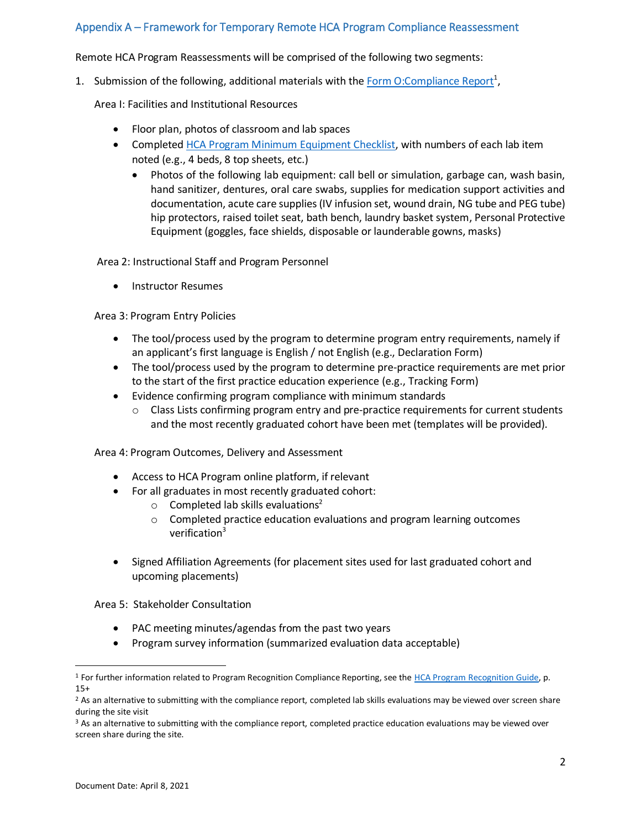## Appendix A – Framework for Temporary Remote HCA Program Compliance Reassessment

Remote HCA Program Reassessments will be comprised of the following two segments:

1. Submission of the following, additional materials with the [Form O:Compliance Report](https://www.cachwr.bc.ca/Documents/Educators/Form-O.aspx)<sup>1</sup>,

Area I: Facilities and Institutional Resources

- Floor plan, photos of classroom and lab spaces
- Complete[d HCA Program Minimum Equipment Checklist,](https://www.cachwr.bc.ca/Documents/Educators/HCA-Program-Minimum-Laboratory-Equipment-Checklist.aspx) with numbers of each lab item noted (e.g., 4 beds, 8 top sheets, etc.)
	- Photos of the following lab equipment: call bell or simulation, garbage can, wash basin, hand sanitizer, dentures, oral care swabs, supplies for medication support activities and documentation, acute care supplies (IV infusion set, wound drain, NG tube and PEG tube) hip protectors, raised toilet seat, bath bench, laundry basket system, Personal Protective Equipment (goggles, face shields, disposable or launderable gowns, masks)

Area 2: Instructional Staff and Program Personnel

• Instructor Resumes

Area 3: Program Entry Policies

- The tool/process used by the program to determine program entry requirements, namely if an applicant's first language is English / not English (e.g., Declaration Form)
- The tool/process used by the program to determine pre-practice requirements are met prior to the start of the first practice education experience (e.g., Tracking Form)
- Evidence confirming program compliance with minimum standards
	- $\circ$  Class Lists confirming program entry and pre-practice requirements for current students and the most recently graduated cohort have been met (templates will be provided).

Area 4: Program Outcomes, Delivery and Assessment

- Access to HCA Program online platform, if relevant
- For all graduates in most recently graduated cohort:
	- $\circ$  Completed lab skills evaluations<sup>2</sup>
	- $\circ$  Completed practice education evaluations and program learning outcomes verification<sup>3</sup>
- Signed Affiliation Agreements (for placement sites used for last graduated cohort and upcoming placements)

Area 5: Stakeholder Consultation

- PAC meeting minutes/agendas from the past two years
- Program survey information (summarized evaluation data acceptable)

 $\overline{a}$ 

<sup>&</sup>lt;sup>1</sup> For further information related to Program Recognition Compliance Reporting, see the HCA Program [Recognition Guide,](https://www.cachwr.bc.ca/Documents/Educators/HCA-Program-Recognition-Guide_2E_2018.aspx) p. 15+

<sup>&</sup>lt;sup>2</sup> As an alternative to submitting with the compliance report, completed lab skills evaluations may be viewed over screen share during the site visit

<sup>&</sup>lt;sup>3</sup> As an alternative to submitting with the compliance report, completed practice education evaluations may be viewed over screen share during the site.